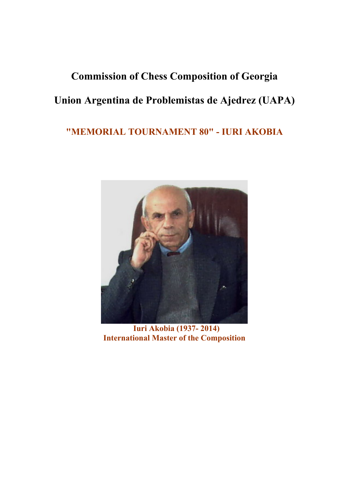# **Commission of Chess Composition of Georgia Union Argentina de Problemistas de Ajedrez (UAPA)**

# **"MEMORIAL TOURNAMENT 80" - IURI AKOBIA**



 **Iuri Akobia (1937- 2014) International Master of the Composition**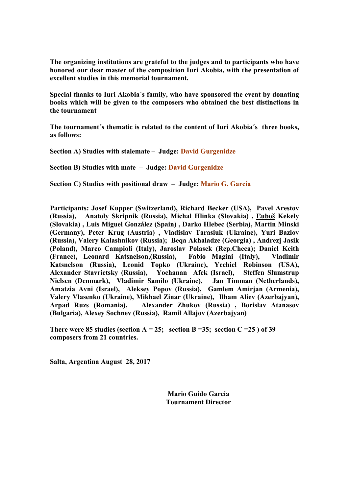**The organizing institutions are grateful to the judges and to participants who have honored our dear master of the composition Iuri Akobia, with the presentation of excellent studies in this memorial tournament.** 

**Special thanks to Iuri Akobia´s family, who have sponsored the event by donating books which will be given to the composers who obtained the best distinctions in the tournament** 

**The tournament´s thematic is related to the content of Iuri Akobia´s three books, as follows:** 

**Section A) Studies with stalemate – Judge: David Gurgenidze**

**Section B) Studies with mate – Judge: David Gurgenidze**

**Section C) Studies with positional draw** – **Judge: Mario G. García**

**Participants: Josef Kupper (Switzerland), Richard Becker (USA), Pavel Arestov (Russia), Anatoly Skripnik (Russia), Michal Hlinka (Slovakia) , Ľuboš Kekely (Slovakia) , Luis Miguel González (Spain) , Darko Hlebec (Serbia), Martin Minski (Germany), Peter Krug (Austria) , Vladislav Tarasiuk (Ukraine), Yuri Bazlov (Russia), Valery Kalashnikov (Russia); Beqa Akhaladze (Georgia) , Andrezj Jasik (Poland), Marco Campioli (Italy), Jaroslav Polasek (Rep.Checa); Daniel Keith (France), Leonard Katsnelson,(Russia), Fabio Magini (Italy), Vladimir Katsnelson (Russia), Leonid Topko (Ukraine), Yechiel Robinson (USA), Alexander Stavrietsky (Russia), Yochanan Afek (Israel), Steffen Slumstrup Nielsen (Denmark), Vladimir Samilo (Ukraine), Jan Timman (Netherlands), Amatzia Avni (Israel), Aleksey Popov (Russia), Gamlem Amirjan (Armenia), Valery Vlasenko (Ukraine), Mikhael Zinar (Ukraine), Ilham Aliev (Azerbajyan), Arpad Ruzs (Romania), Alexander Zhukov (Russia) , Borislav Atanasov (Bulgaria), Alexey Sochnev (Russia), Ramil Allajov (Azerbajyan)** 

There were 85 studies (section  $A = 25$ ; section  $B = 35$ ; section  $C = 25$ ) of 39 **composers from 21 countries.** 

**Salta, Argentina August 28, 2017** 

 **Mario Guido Garcia Tournament Director**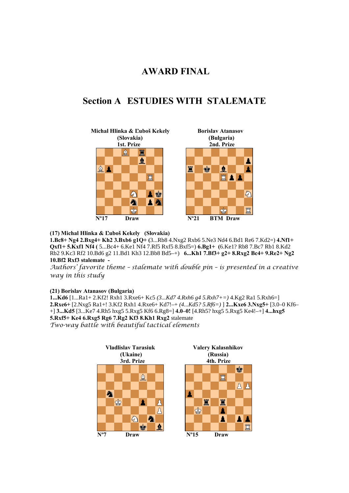# **AWARD FINAL**

## **Section A ESTUDIES WITH STALEMATE**





**(17) Michal Hlinka & Ľuboš Kekely (Slovakia)** 

**1.Bc8+ Ng4 2.Bxg4+ Kh2 3.Bxb6 g1Q+ (**3...Rb8 4.Nxg2 Rxb6 5.Ne3 Nd4 6.Bd1 Re6 7.Kd2=) **4.Nf1+ Qxf1+ 5.Kxf1 Nf4 (** 5...Bc4+ 6.Ke1 Nf4 7.Rf5 Rxf5 8.Bxf5=) **6.Bg1+ (**6.Ke1? Rb8 7.Bc7 Rb1 8.Kd2 Rb2 9.Kc3 Rf2 10.Bd6 g2 11.Bd1 Kh3 12.Bb8 Bd5–+) **6...Kh1 7.Bf3+ g2+ 8.Rxg2 Bc4+ 9.Re2+ Ng2 10.Bf2 Rxf3 stalemate -** 

*Authors' favorite theme – stalemate with double pin – is presented in a creative way in this study* 

#### **(21) Borislav Atanasov (Bulgaria)**

**1...Kd6** [1...Ra1+ 2.Kf2! Rxh1 3.Rxe6+ Kc5 *(3...Kd7 4.Rxh6 g4 5.Rxh7+=)* 4.Kg2 Ra1 5.Rxh6=] **2.Rxe6+** [2.Nxg5 Ra1+! 3.Kf2 Rxh1 4.Rxe6+ Kd7!–+ *(4...Kd5? 5.Rf6=)* ] **2...Kxe6 3.Nxg5+** [3.0–0 Kf6– +] **3...Kd5** [3...Ke7 4.Rh5 hxg5 5.Rxg5 Kf6 6.Rg8=] **4.0–0!** [4.Rh5? hxg5 5.Rxg5 Ke4!–+] **4...hxg5 5.Rxf5+ Ke4 6.Rxg5 Rg6 7.Rg2 Kf3 8.Kh1 Rxg2** stalemate *Two-way battle with beautiful tactical elements*

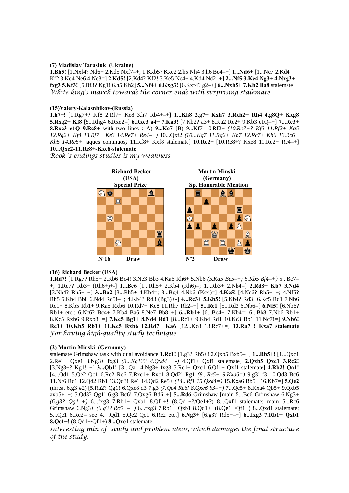#### **(7) Vladislav Tarasiuk (Ukraine)**

**1.Bh5!** [1.Nxf4? Nd6+ 2.Kd5 Nxf7–+; 1.Kxb5? Kxe2 2.h5 Nh4 3.h6 Be4–+] **1...Nd6+** [1...Nc7 2.Kd4 Kf2 3.Ke4 Ne6 4.Nc3=] **2.Kd5!** [2.Kd4? Kf2! 3.Ke5 Nc4+ 4.Kd4 Nd2–+] **2...Nf5 3.Ke4 Ng3+ 4.Nxg3+ fxg3 5.Kf3!** [5.Bf3? Kg1! 6.h5 Kh2] **5...Nf4+ 6.Kxg3!** [6.Kxf4? g2–+] **6...Nxh5+ 7.Kh2 Ba8** stalemate *White king's march towards the corner ends with surprising stalemate*

#### **(15)Valery-Kalasnhikov-(Russia)**

**1.h7+!** [1.Rg7+? Kf8 2.Rf7+ Ke8 3.h7 Rb4+–+] **1...Kh8 2.g7+ Kxh7 3.Rxh2+ Rh4 4.g8Q+ Kxg8 5.Rxg2+ Kf8** [5...Rhg4 6.Rxe2=] **6.Rxe3 a4+ 7.Ka3!** [7.Kb2? a3+ 8.Ka2 Rc2+ 9.Kb3 e1Q–+] **7...Rc3+ 8.Rxc3 e1Q 9.Rc8+** with two lines : A) **9...Ke7** [B) 9...Kf7 10.Rf2+ *(10.Rc7+? Kf6 11.Rf2+ Kg5 12.Rg2+ Kf4 13.Rf7+ Ke3 14.Re7+ Re4–+)* 10...Qxf2 *(10...Kg7 11.Rg2+ Kh7 12.Rc7+ Kh6 13.Rc6+ Kh5 14.Rc5+* jaques continuos*)* 11.Rf8+ Kxf8 stalemate] **10.Re2+** [10.Re8+? Kxe8 11.Re2+ Re4–+] **10...Qxe2-11.Re8+-Kxe8-stalemate** 

*Rook`s endings studies is my weakness*



#### **(16) Richard Becker (USA)**

**1.Rd7!** [1.Rg7? Rh5+ 2.Kb6 Bc4! 3.Ne3 Bb3 4.Ka6 Rh6+ 5.Nb6 *(5.Ka5 Be5–+; 5.Kb5 Bf4–+)* 5...Bc7– +; 1.Re7? Rb3+ (Rh6+)+-] **1...Be6** [1...Rh5+ 2.Kb4 (Kh6)=; 1...Rb3+ 2.Nb4=] **2.Rd8+ Kb7 3.Nd4**  [3.Nb4? Rh5+–+] **3...Ba2** [3...Rh5+ 4.Kb4=; 3...Bg4 4.Nb6 (Kc4)=] **4.Kc5!** [4.Nc6? Rh5+–+; 4.Nf5? Rh5 5.Kb4 Bb8 6.Nd4 Rd5!–+; 4.Kb4? Rd3 (Bg3)+-] **4...Rc3+ 5.Kb5!** [5.Kb4? Rd3! 6.Kc5 Rd1 7.Nb6 Rc1+ 8.Kb5 Rb1+ 9.Ka5 Rxb6 10.Rd7+ Kc8 11.Rh7 Rb2–+] **5...Rc1** [5...Rd3 6.Nb6=] **6.Nf5!** [6.Nb6? Rb1+ etc.; 6.Nc6? Bc4+ 7.Kb4 Ba6 8.Ne7 Bb8–+] **6...Rb1+** [6...Bc4+ 7.Kb4=; 6...Bb8 7.Nb6 Rb1+ 8.Kc5 Rxb6 9.Rxb8+=] **7.Kc5 Bg1+ 8.Nd4 Rd1** [8...Rc1+ 9.Kb4 Rd1 10.Kc3 Bb1 11.Nc7!=] **9.Nb6! Rc1+ 10.Kb5 Rb1+ 11.Kc5 Rxb6 12.Rd7+ Ka6** [12...Kc8 13.Rc7+=] **13.Ra7+! Kxa7 stalemate**  *For having high-quality study technique*

#### **(2) Martin Minski (Germany)**

stalemate Grimshaw task with dual avoidance **1.Rc1!** [1.g3? Rb5+! 2.Qxb5 Bxb5–+] **1...Rb5+!** [1...Qxc1 2.Re1+ Qxe1 3.Ng3+ fxg3 *(3...Kg1?? 4.Qxd4++-)* 4.Qf1+ Qxf1 stalemate] **2.Qxb5 Qxc1 3.Rc2!**  [3.Ng3+? Kg1!–+] **3...Qb1!** [3...Qa1 4.Ng3+ fxg3 5.Rc1+ Qxc1 6.Qf1+ Qxf1 stalemate] **4.Rb2! Qa1!**  [4...Qd1 5.Qe2 Qc1 6.Rc2 Rc6 7.Rxc1+ Rxc1 8.Qd2! Rg1 *(8...Rc5+ 9.Kxa6=)* 9.g3! f3 10.Qd3 Bc6 11.Nf6 Rc1 12.Qd2 Rb1 13.Qd3! Re1 14.Qd2 Re5+ *(14...Rf1 15.Qxd4=)* 15.Kxa6 Bb5+ 16.Kb7=] **5.Qe2**  (threat 6.g3 #2) [5.Ra2? Qg1! 6.Qxe8 d3 7.g3 *(7.Qe4 Re6! 8.Qxe6 b3–+)* 7...Qc5+ 8.Kxa4 Qb5+ 9.Qxb5 axb5+–+; 5.Qd3? Qg1! 6.g3 Bc6! 7.Qxg6 Bd6–+] **5...Rd6** Grimshaw [main 5...Bc6 Grimshaw 6.Ng3+ *(6.g3? Qg1–+)* 6...fxg3 7.Rb1+ Qxb1 8.Qf1+! (8.Qd1+?/Qe1+?) 8...Qxf1 stalemate; main 5...Rc6 Grimshaw 6.Ng3+ *(6.g3? Rc5+–+)* 6...fxg3 7.Rb1+ Qxb1 8.Qd1+! (8.Qe1+/Qf1+) 8...Qxd1 stalemate; 5...Qc1 6.Rc2= see 4.. .Qd1 5.Qe2 Qc1 6.Rc2 etc.] **6.Ng3+** [6.g3? Rd5+–+] **6...fxg3 7.Rb1+ Qxb1 8.Qe1+!** (8.Qd1+/Qf1+) **8...Qxe1** stalemate -

*Interesting mix of study and problem ideas, which damages the final structure of the study.*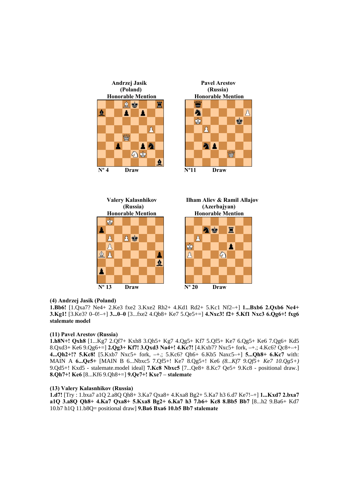

**Nº 13 Draw Nº 20 Draw** 

#### **(4) Andrzej Jasik (Poland)**

**1.Bb6!** [1.Qxa7? Ne4+ 2.Ke3 fxe2 3.Kxe2 Rh2+ 4.Kd1 Rd2+ 5.Kc1 Nf2–+] **1...Bxb6 2.Qxb6 Ne4+ 3.Kg1!** [3.Ke3? 0–0!–+] **3...0–0** [3...fxe2 4.Qb8+ Ke7 5.Qe5+=] **4.Nxc3! f2+ 5.Kf1 Nxc3 6.Qg6+! fxg6 stalemate model** 

#### **(11) Pavel Arestov (Russia)**

**1.h8N+! Qxh8** [1...Kg7 2.Qf7+ Kxh8 3.Qh5+ Kg7 4.Qg5+ Kf7 5.Qf5+ Ke7 6.Qg5+ Ke6 7.Qg6+ Kd5 8.Qxd3+ Ke6 9.Qg6+=] **2.Qg3+ Kf7! 3.Qxd3 Na4+! 4.Kc7!** [4.Kxb7? Nxc5+ fork, –+.; 4.Kc6? Qc8+–+] **4...Qh2+!? 5.Kc8!** [5.Kxb7 Nxc5+ fork, –+.; 5.Kc6? Qh6+ 6.Kb5 Naxc5–+] **5...Qh8+ 6.Kc7** with: MAIN A **6...Qe5+** [MAIN B 6...Nbxc5 7.Qf5+! Ke7 8.Qg5+! Ke6 *(8...Kf7 9.Qf5+ Ke7 10.Qg5+)*  9.Qd5+! Kxd5 - stalemate.model ideal] **7.Kc8 Nbxc5** [7...Qe8+ 8.Kc7 Qe5+ 9.Kc8 - positional draw.] **8.Qh7+! Ke6** [8...Kf6 9.Qh8+=] **9.Qe7+! Kxe7** – **stalemate** 

#### **(13) Valery Kalasnhikov (Russia)**

**1.d7!** [Try : 1.bxa7 a1Q 2.a8Q Qh8+ 3.Ka7 Qxa8+ 4.Kxa8 Bg2+ 5.Ka7 h3 6.d7 Ke7!–+] **1...Kxd7 2.bxa7 a1Q 3.a8Q Qh8+ 4.Ka7 Qxa8+ 5.Kxa8 Bg2+ 6.Ka7 h3 7.b6+ Kc8 8.Bb5 Bb7** [8...h2 9.Ba6+ Kd7 10.b7 h1Q 11.b8Q= positional draw] **9.Ba6 Bxa6 10.b5 Bb7 stalemate**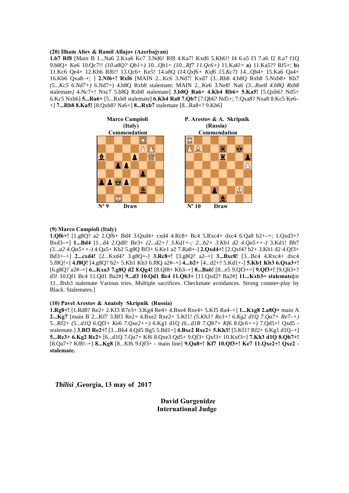#### **(20) Ilham Aliev & Ramil Allajov (Azerbajyan)**

**1.b7 Rf8** [Main B 1...Na6 2.Kxa6 Kc7 3.Nd6! Rf8 4.Ka7! Kxd6 5.Kb6!! f4 6.a5 f3 7.a6 f2 8.a7 f1Q 9.b8Q+ Ke6 10.Qc7!! *(10.a8Q? Qb1+)* 10...Qb1+ *(10...Rf7 11.Qc6+)* 11.Ka6!= **a)** 11.Ka5?? Rf5+; **b)**  11.Kc6 Qe4+ 12.Kb6 Rf6!! 13.Qc6+ Ke5! 14.a8Q *(14.Qxf6+ Kxf6 15.Kc7)* 14...Qb4+ 15.Ka6 Qa4+ 16.Kb6 Qxa8–+; ] **2.Nf6+! Rxf6** [MAIN 2...Kc6 3.Nd7! Kxd7 (3...Rh8 4.b8Q Rxb8 5.Nxb8+ Kb7 *(5...Kc5 6.Nd7+)* 6.Nd7=) 4.b8Q Rxb8 stalemate; MAIN 2...Ke6 3.Ne8! Na6 *(3...Rxe8 4.b8Q Rxb8*  stalemate*)* 4.Nc7+! Nxc7 5.b8Q Rxb8 stalemate] **3.b8Q Ra6+ 4.Kb4 Rb6+ 5.Ka5!** [5.Qxb6? Nd5+ 6.Kc5 Nxb6] **5...Ra6+** [5...Rxb8 stalemate] **6.Kb4 Ra8 7.Qb7** [7.Qb6? Nd5+; 7.Qxa8? Nxa8 8.Kc5 Ke6– +] **7...Rb8 8.Ka5!** [8.Qxb8? Na6+] **8...Rxb7** stalemate [8...Ra8+? 9.Kb6]



#### **(9) Marco Campioli (Italy)**

**1.Qf6+!** [1.g8Q? a2 2.Qf6+ Bd4 3.Qxd4+ cxd4 4.Rc8+ Bc4 5.Rxc4+ dxc4 6.Qa8 b2+–+; 1.Qxd3+? Bxd3–+] **1...Bd4** [1...d4 2.Qd8! Be3+ *(2...d2+? 3.Kd1+-; 2...b2+ 3.Kb1 d2 4.Qa5++-)* 3.Kd1! Bb7 *(3...a2 4.Qa5++-)* 4.Qa5+ Kb2 5.g8Q Bf3+ 6.Ke1 a2 7.Ra8+-] **2.Qxd4+!** [2.Qxf4? b2+ 3.Kb1 d2 4.Qf3+ Bd3+–+] **2...cxd4!** [2...Kxd4? 3.g8Q+-] **3.Rc8+!** [3.g8Q? a2–+] **3...Bxc8!** [3...Bc4 4.Rxc4+ dxc4 5.f8Q!=] **4.f8Q!** [4.g8Q? b2+ 5.Kb1 Kb3 6.f8Q a2#–+] **4...b2+** [4...d2+? 5.Kd1+-] **5.Kb1 Kb3 6.Qxa3+!**  [6.g8Q? a2#–+] **6...Kxa3 7.g8Q d2 8.Qg4!** [8.Qf8+ Kb3–+] **8...Ba6!** [8...e5 9.Qf3+=] **9.Qf3+!** [9.Qh3+? d3! 10.Qf1 Bc4 11.Qd1 Ba2#] **9...d3 10.Qd1 Bc4 11.Qb3+** [11.Qxd2? Ba2#] **11...Kxb3= stalemate[**or 11...Bxb3 stalemate Various tries. Multiple sacrifices. Checkmate avoidances. Strong counter-play by Black. Stalemates.]

#### **(10) Pavel Arestov & Anatoly Skripnik (Russia)**

**1.Rg8+!** [1.Rd8? Re2+ 2.Kf3 R7e3+ 3.Kg4 Re4+ 4.Bxe4 Rxe4+ 5.Kf5 Ra4–+] **1...Kxg8 2.a8Q+** main A **2...Kg7** [main B 2...Kf7 3.Bf3 Re2+ 4.Bxe2 Rxe2+ 5.Kf1! *(5.Kh3? Re3+! 6.Kg2 d1Q 7.Qa7+ Re7–+)*  5...Rf2+ *(5...d1Q 6.Qf3+ Ke6 7.Qxe2+=)* 6.Kg1 d1Q *(6...d1R 7.Qb7+ Kf6 8.Qc6+=)* 7.Qd5+! Qxd5 sralemate.] **3.Bf3 Re2+!** [3...Bh4 4.Qd5 Bg5 5.Bd1=] **4.Bxe2 Rxe2+ 5.Kh3!** [5.Kf1? Rf2+ 6.Kg1 d1Q–+] **5...Re3+ 6.Kg2 Re2+** [6...d1Q 7.Qa7+ Kf6 8.Qxe3 Qd5+ 9.Qf3+ Qxf3+ 10.Kxf3=] **7.Kh3 d1Q 8.Qb7+!**  [8.Qa7+? Kf8!–+] **8...Kg8** [8...Kf6 9.Qf3+ - main line] **9.Qa8+! Kf7 10.Qf3+! Ke7 11.Qxe2+! Qxe2 stalemate.** 

*Tbilisi ,***Georgia, 13 may of 2017** 

 **David Gurgenidze International Judge**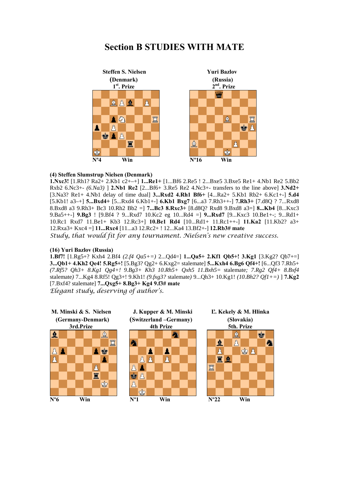# **Section B STUDIES WITH MATE**



#### **(4) Steffen Slumstrup Nielsen (Denmark)**

**1.Nxc3!** [1.Rh1? Ra2+ 2.Kb1 c2+–+] **1...Re1+** [1...Bf6 2.Re5 ! 2...Bxe5 3.Bxe5 Re1+ 4.Nb1 Re2 5.Bb2 Rxb2 6.Nc3+- *(6.Na3)* ] **2.Nb1 Re2** [2...Bf6+ 3.Re5 Re2 4.Nc3+- transfers to the line above] **3.Nd2+**  [3.Na3? Re1+ 4.Nb1 delay of time dual] **3...Rxd2 4.Rh1 Bf6+** [4...Ra2+ 5.Kb1 Rb2+ 6.Kc1+-] **5.d4**  [5.Kb1! a3–+] **5...Bxd4+** [5...Rxd4 6.Kb1+-] **6.Kb1 Bxg7** [6...a3 7.Rh3++-] **7.Rh3+** [7.d8Q ? 7...Rxd8 8.Bxd8 a3 9.Rh3+ Bc3 10.Rh2 Bb2 =] **7...Bc3 8.Rxc3+** [8.d8Q? Rxd8 9.Bxd8 a3=] **8...Kb4** [8...Kxc3 9.Ba5++-] **9.Bg3** ! [9.Bf4 ? 9...Rxd7 10.Kc2 eg 10...Rd4 =] **9...Rxd7** [9...Kxc3 10.Be1+-; 9...Rd1+ 10.Rc1 Rxd7 11.Be1+ Kb3 12.Rc3+] **10.Be1 Rd4** [10...Rd1+ 11.Rc1++-] **11.Ka2** [11.Kb2? a3+ 12.Rxa3+ Kxc4 =] **11...Rxc4** [11...a3 12.Rc2+ ! 12...Ka4 13.Bf2+-] **12.Rb3# mate**  *Study, that would fit for any tournament. Nielsen's new creative success.* 

#### **(16) Yuri Bazlov (Russia)**

**1.Bf7!** [1.Rg5+? Kxh4 2.Bf4 *(2.f4 Qa5+=)* 2...Qd4=] **1...Qa5+ 2.Kf1 Qb5+! 3.Kg1** [3.Kg2? Qb7+=] **3...Qb1+ 4.Kh2 Qe4! 5.Rg5+!** [5.Bg3? Qg2+ 6.Kxg2= stalemate] **5...Kxh4 6.Bg6 Qf4+!** [6...Qf3 7.Rh5+ *(7.Rf5? Qh3+ 8.Kg1 Qg4+! 9.Bg3+ Kh3 10.Rh5+ Qxh5 11.Bxh5=* stalemate*; 7.Rg2 Qf4+ 8.Bxf4*  stalemate*)* 7...Kg4 8.Rf5! Qg3+! 9.Kh1! *(9.fxg3?* stalemate*)* 9...Qh3+ 10.Kg1! *(10.Bh2? Qf1+=)* ] **7.Kg2**  [7.Bxf4? stalemate] **7...Qxg5+ 8.Bg3+ Kg4 9.f3# mate** 

*Elegant study, deserving of author's.* 

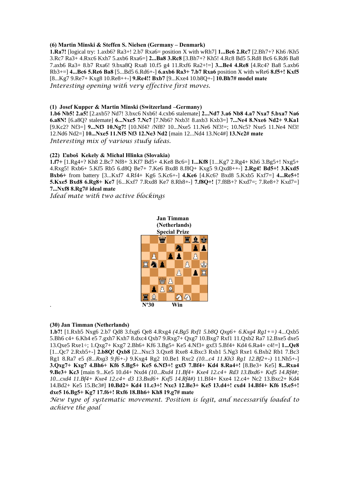#### **(6) Martin Minski & Steffen S. Nielsen (Germany – Denmark)**

**1.Ra7!** [logical try: 1.axb6? Ra3+! 2.b7 Rxa6= position X with wRh7] **1...Bc6 2.Rc7** [2.Bh7+? Kh6 /Kh5 3.Rc7 Ra3+ 4.Rxc6 Kxh7 5.axb6 Rxa6=] **2...Ba8 3.Rc8** [3.Bh7+? Kh5! 4.Rc8 Bd5 5.Rd8 Bc6 6.Rd6 Ba8 7.axb6 Ra3+ 8.b7 Rxa6! 9.bxa8Q Rxa8 10.f5 g4 11.Rxf6 Ra2+!=] **3...Be4 4.Re8** [4.Rc4? Ba8 5.axb6 Rb3+=] **4...Bc6 5.Re6 Ba8** [5...Bd5 6.Rd6+-] **6.axb6 Ra3+ 7.b7 Rxa6** position X with wRe6 **8.f5+! Kxf5**  [8...Kg7 9.Re7+ Kxg8 10.Re8++-] **9.Re4!! Bxb7** [9...Kxe4 10.b8Q+-] **10.Bh7# model mate**  *Interesting opening with very effective first moves.* 

#### **(1) Josef Kupper & Martin Minski (Switzerland –Germany)**

**1.b6 Nb5! 2.a5!** [2.axb5? Nd7! 3.bxc6 Nxb6! 4.cxb6 stalemate] **2...Nd7 3.a6 Nb8 4.a7 Nxa7 5.bxa7 Na6 6.a8N!** [6.a8Q? stalemate] **6...Nxc5 7.Nc7** [7.Nb6? Nxb3! 8.axb3 Kxb3=] **7...Ne4 8.Nxe6 Nd2+ 9.Ka1**  [9.Kc2? Nf3=] **9...Nf3 10.Ng7!** [10.Nf4? /Nf8? 10...Nxe5 11.Ne6 Nf3!=; 10.Nc5? Nxe5 11.Ne4 Nf3! 12.Nd6 Nd2=] **10...Nxe5 11.Nf5 Nf3 12.Ne3 Nd2** [main 12...Nd4 13.Nc4#] **13.Nc2# mate** *Interesting mix of various study ideas.* 

#### **(22) Ľuboš Kekely & Michal Hlinka (Slovakia)**

**1.f7+** [1.Rg4+? Kh8 2.Bc7 Nf8+ 3.Kf7 Bd5+ 4.Ke8 Bc6=] **1...Kf8** [1...Kg7 2.Rg4+ Kh6 3.Bg5+! Nxg5+ 4.Rxg5! Rxb6+ 5.Kf5 Rb5 6.d8Q Be7+ 7.Ke6 Bxd8 8.f8Q+ Kxg5 9.Qxd8++-] **2.Rg4! Bd5+! 3.Kxd5 Bxb6+** from battery [3...Kxf7 4.Rf4+ Kg6 5.Kc6+-] **4.Ke6** [4.Kc6? Bxd8 5.Kxb5 Kxf7=] **4...Re5+! 5.Kxe5 Bxd8 6.Rg8+ Ke7** [6...Kxf7 7.Rxd8 Ke7 8.Rh8+-] **7.f8Q+!** [7.f8B+? Kxd7=; 7.Re8+? Kxd7=] **7...Nxf8 8.Rg7# ideal mate**

*Ideal mate with two active blockings* 



#### **(30) Jan Timman (Netherlands)**

**1.b7!** [1.Rxb5 Nxg6 2.b7 Qd8 3.fxg6 Qe8 4.Rxg4 *(4.Bg5 Rxf1 5.b8Q Qxg6+ 6.Kxg4 Rg1+=)* 4...Qxb5 5.Bh6 c4+ 6.Kh4 e5 7.gxh7 Kxh7 8.dxc4 Qxb7 9.Rxg7+ Qxg7 10.Bxg7 Rxf1 11.Qxb2 Ra7 12.Bxe5 dxe5 13.Qxe5 Rxe1÷; 1.Qxg7+ Kxg7 2.Bh6+ Kf6 3.Bg5+ Ke5 4.Nf3+ gxf3 5.Bf4+ Kd4 6.Ra4+ c4!=] **1...Qe8**  [1...Qc7 2.Rxb5+-] **2.b8Q! Qxb8** [2...Nxc3 3.Qxe8 Rxe8 4.Bxc3 Rxb1 5.Ng3 Rxe1 6.Bxb2 Rb1 7.Bc3 Rg1 8.Ra7 e5 *(8...Rxg3 9.f6+-)* 9.Kxg4 Rg2 10.Be1 Rxc2 *(10...c4 11.Kh3 Rg1 12.Bf2+-)* 11.Nh5+-] **3.Qxg7+ Kxg7 4.Bh6+ Kf6 5.Bg5+ Ke5 6.Nf3+! gxf3 7.Bf4+ Kd4 8.Ra4+!** [8.Be3+ Ke5] **8...Rxa4 9.Be3+ Kc3** [main 9...Ke5 10.d4+ Nxd4 *(10...Rxd4 11.Bf4+ Kxe4 12.c4+ Rd3 13.Bxd6+ Kxf5 14.Rf4#; 10...cxd4 11.Bf4+ Kxe4 12.c4+ d3 13.Bxd6+ Kxf5 14.Rf4#)* 11.Bf4+ Kxe4 12.c4+ Nc2 13.Bxc2+ Kd4 14.Bd2+ Ke5 15.Bc3#] **10.Bd2+ Kd4 11.c3+! Nxc3 12.Be3+ Ke5 13.d4+! cxd4 14.Bf4+ Kf6 15.e5+! dxe5 16.Bg5+ Kg7 17.f6+! Rxf6 18.Bh6+ Kh8 19.g7# mate** 

*New type of systematic movement. Position is legit, and necessarily loaded to achieve the goal*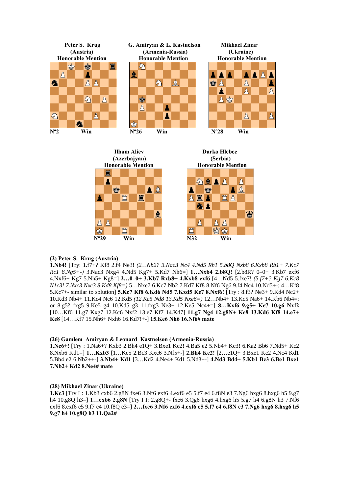



#### **(2) Peter S. Krug (Austria)**

A  $\mathbf{A}$ 

**1.Nb4!** [Try: 1.f7+? Kf8 2.f4 Ne3! *(2…Nb2? 3.Nac3 Nc4 4.Nd5 Rh1 5.b8Q Nxb8 6.Kxb8 Rb1+ 7.Kc7 Rc1 8.Ng5+-)* 3.Nac3 Nxg4 4.Nd5 Kg7+ 5.Kd7 Nh6=] **1…Nxb4 2.b8Q!** [2.b8R? 0–0+ 3.Kb7 exf6 4.Nxf6+ Kg7 5.Nh5+ Kg8=] **2…0–0+ 3.Kb7 Rxb8+ 4.Kxb8 exf6** [4…Nd5 5.fxe7! *(5.f7+? Kg7 6.Kc8 N1c3! 7.Nxc3 Nxc3 8.Kd8 Kf8=)* 5…Nxe7 6.Kc7 Nb2 7.Kd7 Kf8 8.Nf6 Ng6 9.f4 Nc4 10.Nd5+-; 4…Kf8 5.Kc7+- similar to solution] **5.Kc7 Kf8 6.Kd6 Nd5 7.Kxd5 Ke7 8.Nxf6!** [Try : 8.f3? Ne3+ 9.Kd4 Nc2+ 10.Kd3 Nb4+ 11.Kc4 Nc6 12.Kd5 *(12.Kc5 Nd8 13.Kd5 Nxe6=)* 12…Nb4+ 13.Kc5 Na6+ 14.Kb6 Nb4=; or 8.g5? fxg5 9.Ke5 g4 10.Kd5 g3 11.fxg3 Ne3+ 12.Ke5 Nc4+=] **8…Kxf6 9.g5+ Ke7 10.g6 Nxf2**  [10…Kf6 11.g7 Kxg7 12.Kc6 Nxf2 13.e7 Kf7 14.Kd7] **11.g7 Ng4 12.g8N+ Ke8 13.Kd6 Kf8 14.e7+ Ke8** [14…Kf7 15.Nh6+ Nxh6 16.Kd7!+-] **15.Ke6 Nh6 16.Nf6# mate** 

#### **(26) Gamlem Amiryan & Leonard Kastnelson (Armenia-Russia)**

**1.Nc6+!** [Try : 1.Na6+? Kxb3 2.Bh4 e1Q+ 3.Bxe1 Kc2! 4.Ba5 e2 5.Nb4+ Kc3! 6.Ka2 Bb6 7.Nd5+ Kc2 8.Nxb6 Kd1=] **1…Kxb3** [1…Kc5 2.Bc3 Kxc6 3.Nf5+-] **2.Bh4 Kc2!** [2…e1Q+ 3.Bxe1 Kc2 4.Nc4 Kd1 5.Bb4 e2 6.Nb2++-] **3.Nb4+ Kd1** [3…Kd2 4.Ne4+ Kd1 5.Nd3+-] **4.Nd3 Bd4+ 5.Kb1 Bc3 6.Be1 Bxe1 7.Nb2+ Kd2 8.Ne4# mate** 

#### **(28) Mikhael Zinar (Ukraine)**

**1.Kc3** [Try I : 1.Kb3 cxb6 2.g8N fxe6 3.Nf6 exf6 4.exf6 e5 5.f7 e4 6.f8N e3 7.Ng6 hxg6 8.hxg6 h5 9.g7 h4 10.g8Q h3=] **1…cxb6 2.g8N** [Try I I: 2.g8Q+- fxe6 3.Qg6 hxg6 4.hxg6 h5 5.g7 h4 6.g8N h3 7.Nf6 exf6 8.exf6 e5 9.f7 e4 10.f8Q e3=] **2…fxe6 3.Nf6 exf6 4.exf6 e5 5.f7 e4 6.f8N e3 7.Ng6 hxg6 8.hxg6 h5 9.g7 h4 10.g8Q h3 11.Qa2#**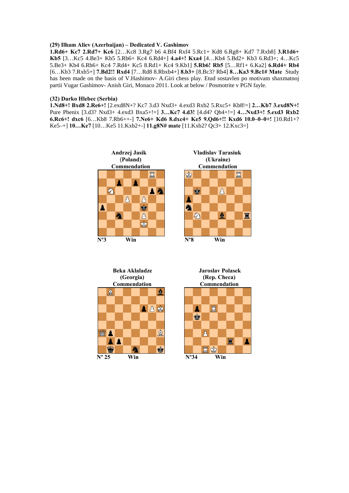#### **(29) Ilham Aliev (Azerbaijan) – Dedicated V. Gashimov**

**1.Rd6+ Kc7 2.Rd7+ Kc6** [2…Kc8 3.Rg7 b6 4.Bf4 Rxf4 5.Rc1+ Kd8 6.Rg8+ Kd7 7.Rxb8] **3.R1d6+ Kb5** [3…Kc5 4.Be3+ Kb5 5.Rb6+ Kc4 6.Rd4+] **4.a4+! Kxa4** [4…Kb4 5.Bd2+ Kb3 6.Rd3+; 4…Kc5 5.Be3+ Kb4 6.Rb6+ Kc4 7.Rd4+ Kc5 8.Rd1+ Kc4 9.Kb1] **5.Rb6! Rb5** [5…Rf1+ 6.Ka2] **6.Rd4+ Rb4**  [6…Kb3 7.Rxb5+] **7.Bd2!! Rxd4** [7…Rd8 8.Rbxb4+] **8.b3+** [8.Bc3? Rb4] **8…Ka3 9.Bc1# Mate** Study has been made on the basis of V.Hashimov- A.Giri chess play. Etud sostavlen po motivam shaxmatnoj partii Vugar Gashimov- Anish Giri, Monaco 2011. Look at below / Posmotrite v PGN fayle.

#### **(32) Darko Hlebec (Serbia)**

**1.Nd8+! Bxd8 2.Re6+!** [2.exd8N+? Kc7 3.d3 Nxd3+ 4.exd3 Rxb2 5.Rxc5+ Kb8!=] **2…Kb7 3.exd8N+!**  Pure Phenix [3.d3? Nxd3+ 4.exd3 Bxa5+!=] **3…Kc7 4.d3!** [4.d4? Qh4+!=] **4…Nxd3+! 5.exd3 Rxb2 6.Rc6+! dxc6** [6…Kb8 7.Rb6++-] **7.Ne6+ Kd6 8.dxc4+ Ke5 9.Qd6+!! Kxd6 10.0–0–0+!** [10.Rd1+? Ke5–+] **10…Ke7** [10…Ke5 11.Kxb2+-] **11.g8N# mate** [11.Kxb2? Qc3+ 12.Kxc3=]







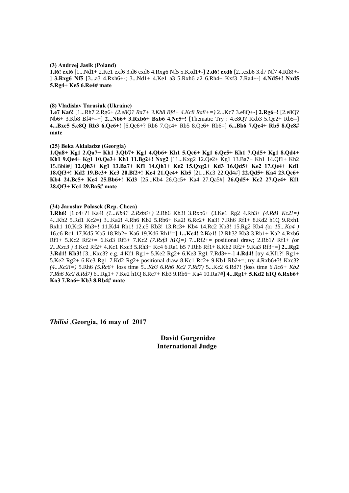#### **(3) Andrzej Jasik (Poland)**

**1.f6! exf6** [1...Nd1+ 2.Ke1 exf6 3.d6 cxd6 4.Rxg6 Nf5 5.Kxd1+-] **2.d6! cxd6** [2...cxb6 3.d7 Nf7 4.Rf8!+- ] **3.Rxg6 Nf5** [3...a3 4.Rxh6+-; 3...Nd1+ 4.Ke1 a3 5.Rxh6 a2 6.Rh4+ Kxf3 7.Ra4+-] **4.Nd5+! Nxd5 5.Rg4+ Ke5 6.Re4# mate** 

#### **(8) Vladislav Tarasiuk (Ukraine)**

**1.e7 Ka6!** [1...Rh7 2.Rg6+ *(2.e8Q? Ra7+ 3.Kb8 Bf4+ 4.Kc8 Ra8+=)* 2...Kc7 3.e8Q+-] **2.Rg6+!** [2.e8Q? Nb6+ 3.Kb8 Bf4+–+] **2...Nb6+ 3.Rxb6+ Bxb6 4.Nc5+!** [Thematic Try : 4.e8Q? Rxb3 5.Qe2+ Rb5=] **4...Bxc5 5.e8Q Rb3 6.Qc6+!** [6.Qe6+? Rb6 7.Qc4+ Rb5 8.Qe6+ Rb6=] **6...Bb6 7.Qc4+ Rb5 8.Qc8# mate** 

#### **(25) Beka Aklaladze (Georgia)**

**1.Qa8+ Kg1 2.Qa7+ Kh1 3.Qb7+ Kg1 4.Qb6+ Kh1 5.Qc6+ Kg1 6.Qc5+ Kh1 7.Qd5+ Kg1 8.Qd4+ Kh1 9.Qe4+ Kg1 10.Qe3+ Kh1 11.Bg2+! Nxg2** [11...Kxg2 12.Qe2+ Kg1 13.Ba7+ Kh1 14.Qf1+ Kh2 15.Bb8#] **12.Qh3+ Kg1 13.Ba7+ Kf1 14.Qh1+ Ke2 15.Qxg2+ Kd3 16.Qd5+ Ke2 17.Qe4+ Kd1 18.Qf3+! Kd2 19.Be3+ Kc3 20.Bf2+! Kc4 21.Qe4+ Kb5** [21...Kc3 22.Qd4#] **22.Qd5+ Ka4 23.Qc6+ Kb4 24.Bc5+ Kc4 25.Bb6+! Kd3** [25...Kb4 26.Qc5+ Ka4 27.Qa5#] **26.Qd5+ Ke2 27.Qe4+ Kf1 28.Qf3+ Ke1 29.Ba5# mate** 

#### **(34) Jaroslav Polasek (Rep. Checa)**

**1.Rh6!** [1.c4+?! Ka4! *(1...Kb4? 2.Rxb6+)* 2.Rh6 Kb3! 3.Rxb6+ (3.Ke1 Rg2 4.Rh3+ *(4.Rd1 Kc2!=)*  4...Kb2 5.Rd1 Kc2=) 3...Ka2! 4.Rh6 Kb2 5.Rb6+ Ka2! 6.Rc2+ Ka3! 7.Rh6 Rf1+ 8.Kd2 h1Q 9.Rxh1 Rxh1 10.Kc3 Rh3+! 11.Kd4 Rh1! 12.c5 Kb3! 13.Rc3+ Kb4 14.Rc2 Kb3! 15.Rg2 Kb4 *(*or *15...Ka4 )*  16.c6 Rc1 17.Kd5 Kb5 18.Rb2+ Ka6 19.Kd6 Rh1!=] **1...Kc4! 2.Ke1!** [2.Rh3? Kb3 3.Rb1+ Ka2 4.Rxb6 Rf1+ 5.Kc2 Rf2+= 6.Kd3 Rf3+ 7.Kc2 *(7.Rxf3 h1Q=)* 7...Rf2+= positional draw; 2.Rb1? Rf1+ *(*or *2...Kxc3 )* 3.Kc2 Rf2+ 4.Kc1 Kxc3 5.Rh3+ Kc4 6.Ra1 b5 7.Rh6 Rf1+ 8.Kb2 Rf2+ 9.Ka3 Rf3+=] **2...Rg2 3.Rd1! Kb3!** [3...Kxc3? e.g. 4.Kf1 Rg1+ 5.Ke2 Rg2+ 6.Ke3 Rg1 7.Rd3++-] **4.Rd4!** [try 4.Kf1?! Rg1+ 5.Ke2 Rg2+ 6.Ke3 Rg1 7.Kd2 Rg2+ positional draw 8.Kc1 Rc2+ 9.Kb1 Rb2+=; try 4.Rxb6+?! Kxc3? *(4...Kc2!=)* 5.Rh6 *(5.Rc6+* loss time *5...Kb3 6.Rh6 Kc2 7.Rd7)* 5...Kc2 6.Rd7! *(*loss time *6.Rc6+ Kb2 7.Rh6 Kc2 8.Rd7)* 6...Rg1+ 7.Ke2 h1Q 8.Rc7+ Kb3 9.Rb6+ Ka4 10.Ra7#] **4...Rg1+ 5.Kd2 h1Q 6.Rxb6+ Ka3 7.Ra6+ Kb3 8.Rb4# mate**

*Tbilisi ,***Georgia, 16 may of 2017** 

 **David Gurgenidze International Judge**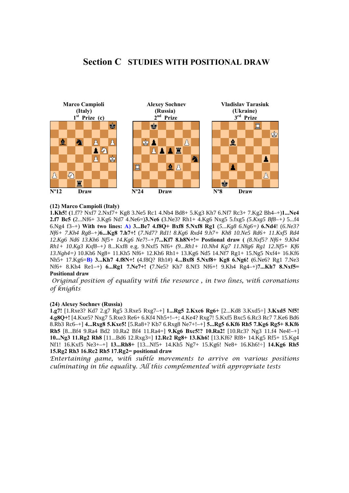### **Section C STUDIES WITH POSITIONAL DRAW**



#### **(12) Marco Campioli (Italy)**

**1.Kh5! (**1.f7? Nxf7 2.Nxf7+ Kg8 3.Ne5 Rc1 4.Nb4 Bd8+ 5.Kg3 Kh7 6.Nf7 Rc3+ 7.Kg2 Bh4–+)**1...Ne4 2.f7 Bc5 (**2...Nf6+ 3.Kg6 Nd7 4.Ne6=)**3.Ne6 (**3.Ne3? Rh1+ 4.Kg6 Nxg5 5.fxg5 *(5.Kxg5 Bf8–+)* 5...f4 6.Ng4 f3–+) **With two lines: A) 3...Be7 4.f8Q+ Bxf8 5.Nxf8 Rg1** (*5...Kg8 6.Ng6=)* **6.Nd4**! (*6.Ne3? Nf6+ 7.Kh4 Rg8–+)***6...Kg8 7.h7+!** (*7.Nd7? Rd1! 8.Kg6 Rxd4 9.h7+ Kh8 10.Ne5 Rd6+ 11.Kxf5 Rd4 12.Kg6 Nd6 13.Kh6 Nf5+ 14.Kg6 Ne7!–+)***7...Kf7 8.h8N+!= Postional draw (** *(8.Nxf5? Nf6+ 9.Kh4 Rh1+ 10.Kg3 Kxf8–+)* 8...Kxf8 e.g. 9.Nxf5 Nf6+ *(9...Rh1+ 10.Nh4 Kg7 11.N8g6 Rg1 12.Nf5+ Kf6 13.Ngh4=)* 10.Kh6 Ng8+ 11.Kh5 Nf6+ 12.Kh6 Rh1+ 13.Kg6 Nd5 14.Nf7 Rg1+ 15.Ng5 Nxf4+ 16.Kf6 Nh5+ 17.Kg6=**B) 3...Kh7 4.f8N+! (**4.f8Q? Rh1#) **4...Bxf8 5.Nxf8+ Kg8 6.Ng6! (**6.Ne6? Rg1 7.Ne3 Nf6+ 8.Kh4 Re1–+) **6...Rg1 7.Ne7+! (**7.Ne5? Kh7 8.Nf3 Nf6+! 9.Kh4 Rg4–+)**7...Kh7 8.Nxf5= Positional draw** 

 *Original position of equality with the resource , in two lines, with coronations of knights* 

#### **(24) Alexey Sochnev (Russia)**

**1.g7!** [1.Rxe3? Kd7 2.g7 Rg5 3.Rxe5 Rxg7–+] **1...Rg5 2.Kxc6 Rg6+** [2...Kd8 3.Kxd5÷] **3.Kxd5 Nf5! 4.g8Q+!** [4.Kxe5? Nxg7 5.Rxe3 Re6+ 6.Kf4 Nh5+!–+; 4.Ke4? Rxg7! 5.Kxf5 Bxc5 6.Rc3 Rc7 7.Ke6 Bd6 8.Rb3 Rc6–+] **4...Rxg8 5.Kxe5!** [5.Ra8+? Kb7 6.Rxg8 Ne7+!–+] **5...Rg5 6.Kf6 Rh5 7.Kg6 Rg5+ 8.Kf6 Rh5** [8...Bf4 9.Ra4 Bd2 10.Ra2 Bf4 11.Ra4=] **9.Kg6 Bxc5!? 10.Ra2!** [10.Rc3? Ng3 11.f4 Ne4!–+] **10...Ng3 11.Rg2 Rh8** [11...Bd6 12.Rxg3=] **12.Rc2 Rg8+ 13.Kh6!** [13.Kf6? Rf8+ 14.Kg5 Rf5+ 15.Kg4 Nf1! 16.Kxf5 Ne3+–+] **13...Rh8+** [13...Nf5+ 14.Kh5 Ng7+ 15.Kg6! Ne8+ 16.Kh6!÷] **14.Kg6 Rh5 15.Rg2 Rh3 16.Rc2 Rh5 17.Rg2= positional draw** 

*Entertaining game, with subtle movements to arrive on various positions culminating in the equality. All this complemented with appropriate tests*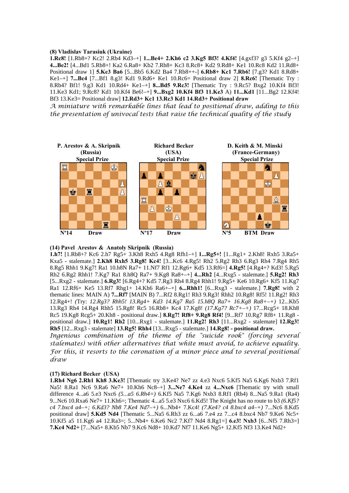#### **(8) Vladislav Tarasiuk (Ukraine)**

**1.Rc8!** [1.Rb8+? Kc2! 2.Rb4 Kd3–+] **1...Be4+ 2.Kh6 c2 3.Kg5 Bf3! 4.Kf4!** [4.gxf3? g3 5.Kf4 g2–+] **4...Be2!** [4...Bd1 5.Rb8+! Ka2 6.Ra8+ Kb2 7.Rb8+ Kc3 8.Rc8+ Kd2 9.Rd8+ Ke1 10.Rc8 Kd2 11.Rd8+ Positional draw 1] **5.Ke3 Ba6** [5...Bb5 6.Kd2 Ba4 7.Rb8++-] **6.Rb8+ Kc1 7.Rb6!** [7.g3? Kd1 8.Rd8+ Ke1–+] **7...Bc4** [7...Bf1 8.g3! Kd1 9.Rd6+ Ke1 10.Rc6= Positional draw 2] **8.Rc6!** [Thematic Try : 8.Rb4? Bf1! 9.g3 Kd1 10.Rd4+ Ke1–+] **8...Bd5 9.Rc3!** [Thematic Try : 9.Rc5? Bxg2 10.Kf4 Bf3! 11.Ke3 Kd1; 9.Rc8? Kd1 10.Kf4 Be6!–+] **9...Bxg2 10.Kf4 Bf3 11.Ke3** A) **11...Kd1** [11...Bg2 12.Kf4! Bf3 13.Ke3= Positional draw] **12.Rd3+ Kc1 13.Rc3 Kd1 14.Rd3+ Positional draw** 

*A miniature with remarkable lines that lead to positional draw, adding to this the presentation of univocal tests that raise the technical quality of the study* 



#### **(14) Pavel Arestov & Anatoly Skripnik (Russia)**

**1.h7!** [1.Rb8+? Kc6 2.h7 Rg5+ 3.Kh8 Rxh5 4.Rg8 Rfh1–+] **1...Rg5+!** [1...Rg1+ 2.Kh8! Rxh5 3.Ra5+ Kxa5 - stalemate.] **2.Kh8 Rxh5 3.Rg8! Kc4!** [3...Kc6 4.Rg5! Rh2 5.Rg2 Rh3 6.Rg3 Rh4 7.Rg4 Rh5 8.Rg5 Rhh1 9.Kg7! Ra1 10.h8N Ra7+ 11.Nf7 Rf1 12.Rg6+ Kd5 13.Rf6=] **4.Rg5!** [4.Rg4+? Kd3! 5.Rg5 Rh2 6.Rg2 Rhh1! 7.Kg7 Ra1 8.h8Q Ra7+ 9.Kg8 Ra8+–+] **4...Rh2** [4...Rxg5 - stalemate.] **5.Rg2! Rh3**  [5...Rxg2 - stalemate.] **6.Rg3!** [6.Rg4+? Kd5 7.Rg3 Rh4 8.Rg4 Rhh1! 9.Rg5+ Ke6 10.Rg6+ Kf5 11.Kg7 Ra1 12.Rf6+ Ke5 13.Rf7 Rhg1+ 14.Kh6 Ra6+–+] **6...Rhh1!** [6...Rxg3 - stalemate.] **7.Rg8!** with 2 thematic lines: MAIN A) **7...Rf7** [MAIN B) 7...Rf2 8.Rg1! Rh3 9.Rg3! Rhh2 10.Rg8! Rf5! 11.Rg2! Rh3 12.Rg4+! *(*Try: *12.Rg3? Rhh5! 13.Rg4+ Kd3 14.Kg7 Ra5 15.h8Q Ra7+ 16.Kg8 Ra8+–+)* 12...Kb5 13.Rg3 Rh4 14.Rg4 Rhh5 15.Rg8! Rc5 16.Rb8+ Kc4 17.Kg8! *(17.Kg7? Rc7+–+)* 17...Rcg5+ 18.Kh8 Rc5 19.Kg8 Rcg5+ 20.Kh8 - positional draw.] **8.Rg7! Rf8+ 9.Rg8 Rf4!** [9...Rf7 10.Rg7 Rf8+ 11.Rg8 positional draw.] **10.Rg1! Rh2** [10...Rxg1 - stalemate.] **11.Rg2! Rh3** [11...Rxg2 - stalemate] **12.Rg3! Rh5** [12...Rxg3 - stalemate] **13.Rg5! Rhh4** [13...Rxg5 - stalemate.] **14.Rg8! - positional draw.** 

Ingenious combination of the theme of the "suicide rook" (forcing several *stalemates) with other alternatives that white must avoid, to achieve equality. For this, it resorts to the coronation of a minor piece and to several positional draw* 

#### **(17) Richard Becker (USA)**

**1.Rh4 Ng6 2.Rh1 Kh8 3.Ke3!** [Thematic try 3.Ke4? Ne7 zz 4.e3 Nxc6 5.Kf5 Na5 6.Kg6 Nxb3 7.Rf1 Na5! 8.Ra1 Nc6 9.Ra6 Ne7+ 10.Kh6 Nc8–+] **3...Ne7 4.Ke4** zz **4...Nxc6** [Thematic try with small difference 4...a6 5.e3 Nxc6 *(5...a5 6.Rh4=)* 6.Kf5 Na5 7.Kg6 Nxb3 8.Rf1 (Rh4) 8...Na5 9.Ra1 (Ra4) 9...Nc6 10.Rxa6 Ne7+ 11.Kh6=; Thematic 4...a5 5.e3 Nxc6 6.Kd5! The Knight has no route to b3 *(6.Kf5? c4 7.bxc4 a4–+; 6.Kd3? Nb8 7.Ke4 Nd7–+)* 6...Nb4+ 7.Kc4! *(7.Ke4? c4 8.bxc4 a4–+)* 7...Nc6 8.Kd5 positional draw] **5.Kd5 Nd4** [Thematic 5...Na5 6.Rh3 zz 6...a6 7.e4 zz 7...c4 8.bxc4 Nb7 9.Ke6 Nc5+ 10.Kf5 a5 11.Kg6 a4 12.Ra3=; 5...Nb4+ 6.Ke6 Nc2 7.Kf7 Nd4 8.Rg1=] **6.e3! Nxb3** [6...Nf5 7.Rh3=] **7.Kc4 Nd2+** [7...Na5+ 8.Kb5 Nb7 9.Kc6 Nd8+ 10.Kd7 Nf7 11.Ke6 Ng5+ 12.Kf5 Nf3 13.Ke4 Nd2+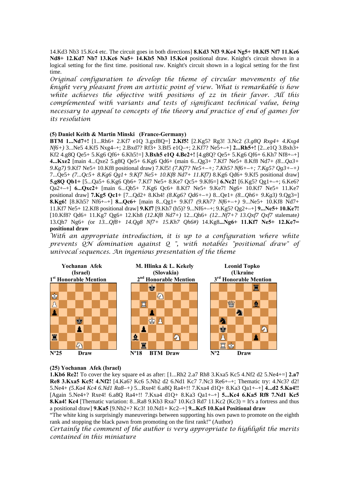14.Kd3 Nb3 15.Kc4 etc. The circuit goes in both directions] **8.Kd3 Nf3 9.Ke4 Ng5+ 10.Kf5 Nf7 11.Ke6 Nd8+ 12.Kd7 Nb7 13.Kc6 Na5+ 14.Kb5 Nb3 15.Kc4** positional draw. Knight's circuit shown in a logical setting for the first time. positional raw. Knight's circuit shown in a logical setting for the first time.

*Original configuration to develop the theme of circular movements of the knight very pleasant from an artistic point of view. What is remarkable is how white achieves the objective with positions of zz in their favor. All this complemented with variants and tests of significant technical value, being necessary to appeal to concepts of the theory and practice of end of games for its resolution* 

#### **(5) Daniel Keith & Martin Minski (France-Germany)**

**BTM 1...Nd7+!** [1...Rh6+ 2.Kf7 e1Q 3.gxf8Q=] **2.Kf5!** [2.Kg5? Rg3! 3.Nc2 *(3.g8Q Rxg4+ 4.Kxg4 Nf6+)* 3...Ne5 4.Kf5 Nxg4–+; 2.Bxd7? Rf3+ 3.Bf5 e1Q–+; 2.Kf7? Ne5+–+] **2...Rh5+!** [2...e1Q 3.Bxh3+ Kf2 4.g8Q Qe5+ 5.Kg6 Qf6+ 6.Kh5!=] **3.Bxh5 e1Q 4.Be2+!** [4.g8Q? Qe5+ 5.Kg6 Qf6+ 6.Kh7 Nf8+–+] **4...Kxe2** [main 4...Qxe2 5.g8Q Qe5+ 6.Kg6 Qd6+ (main 6...Qg3+ 7.Kf7 Ne5+ 8.Kf8 Nd7+ *(8...Qa3+ 9.Kg7)* 9.Kf7 Ne5+ 10.Kf8 positional draw) 7.Kf5! *(7.Kf7? Ne5+–+; 7.Kh5? Nf6+–+; 7.Kg5? Qg3+–+)*  7...Qe5+ *(7...Qc5+ 8.Kg6 Qg1+ 9.Kf7 Ne5+ 10.Kf8 Nd7+ 11.Kf7)* 8.Kg6 Qd6+ 9.Kf5 positional draw] **5.g8Q Qb1+** [5...Qa5+ 6.Kg6 Qb6+ 7.Kf7 Ne5+ 8.Ke7 Qc5+ 9.Kf6=] **6.Nc2!** [6.Kg5? Qg1+–+; 6.Ke6? Qa2+–+] **6...Qxc2+** [main 6...Qb5+ 7.Kg6 Qc6+ 8.Kf7 Ne5+ 9.Ke7! Ng6+ 10.Kf7 Ne5+ 11.Ke7 positional draw] **7.Kg5 Qc1+** [7...Qd2+ 8.Kh4! *(8.Kg6? Qd6+–+)* 8...Qe1+ *(8...Qh6+ 9.Kg3)* 9.Qg3=] **8.Kg6!** [8.Kh5? Nf6+–+] **8...Qc6+** [main 8...Qg1+ 9.Kf7 *(9.Kh7? Nf6+–+)* 9...Ne5+ 10.Kf8 Nd7+ 11.Kf7 Ne5+ 12.Kf8 positional draw] **9.Kf7** [9.Kh7 (h5)? 9...Nf6+–+; 9.Kg5? Qg2+–+] **9...Ne5+ 10.Ke7!**  [10.Kf8? Qd6+ 11.Kg7 Qg6+ 12.Kh8 *(12.Kf8 Nd7+)* 12...Qh6+ *(12...Nf7+? 13.Qxf7 Qxf7* stalemate*)*  13.Qh7 Ng6+ *(*or *13...Qf8+ 14.Qg8 Nf7+ 15.Kh7 Qh6#)* 14.Kg8**...Ng6+ 11.Kf7 Ne5+ 12.Ke7= positional draw** 

*With an appropriate introduction, it is up to a configuration where white prevents QN domination against Q ", with notables "positional draw" of univocal sequences. An ingenious presentation of the theme* 



#### **(25) Yochanan Afek (Israel)**

**1.Kb6 Re2!** To cover the key square e4 as after: [1...Rh2 2.a7 Rh8 3.Kxa5 Kc5 4.Nf2 d2 5.Ne4+=] **2.a7 Re8 3.Kxa5 Kc5! 4.Nf2!** [4.Ka6? Kc6 5.Nb2 d2 6.Nd1 Kc7 7.Nc3 Re6+–+; Thematic try: 4.Nc3? d2! 5.Ne4+ *(5.Ka4 Kc4 6.Nd1 Ra8–+)* 5...Rxe4! 6.a8Q Ra4+!! 7.Kxa4 d1Q+ 8.Ka3 Qa1+–+] **4...d2 5.Ka4!!**  [Again 5.Ne4+? Rxe4! 6.a8Q Ra4+!! 7.Kxa4 d1Q+ 8.Ka3 Qa1+–+] **5...Kc4 6.Ka5 Rf8 7.Nd1 Kc5 8.Ka4! Kc4** [Thematic variation: 8...Ra8 9.Kb3 Rxa7 10.Kc3 Rd7 11.Kc2 (Kc3) = It's a fortress and thus a positional draw] **9.Ka5** [9.Nb2+? Kc3! 10.Nd1+ Kc2–+] **9...Kc5 10.Ka4 Positional draw** 

"The white king is surprisingly maneuverings between supporting his own pawn to promote on the eighth rank and stopping the black pawn from promoting on the first rank!" (Author)

*Certainly the comment of the author is very appropriate to highlight the merits contained in this miniature*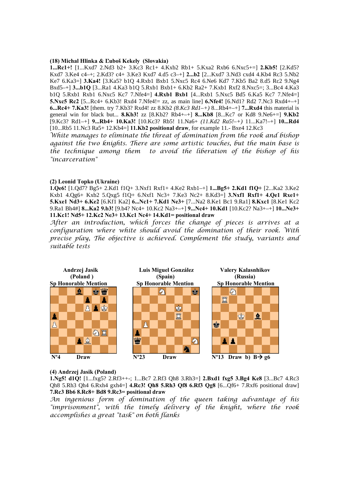#### **(18) Michal Hlinka & Ľuboš Kekely (Slovakia)**

**1...Rc1+!** [1...Kxd7 2.Nd3 b2+ 3.Kc3 Rc1+ 4.Kxb2 Rb1+ 5.Kxa2 Rxb6 6.Nxc5+=] **2.Kb5!** [2.Kd5? Kxd7 3.Ke4 c4–+; 2.Kd3? c4+ 3.Ke3 Kxd7 4.d5 c3–+] **2...b2** [2...Kxd7 3.Nd3 cxd4 4.Kb4 Rc3 5.Nb2 Ke7 6.Ka3=] **3.Ka4!** [3.Ka5? b1Q 4.Rxb1 Bxb1 5.Nxc5 Rc4 6.Ne6 Kd7 7.Kb5 Ba2 8.d5 Rc2 9.Ng4 Bxd5–+] **3...b1Q** [3...Ra1 4.Ka3 b1Q 5.Rxb1 Bxb1+ 6.Kb2 Ra2+ 7.Kxb1 Rxf2 8.Nxc5=; 3...Bc4 4.Ka3 b1Q 5.Rxb1 Rxb1 6.Nxc5 Kc7 7.Nfe4=] **4.Rxb1 Bxb1** [4...Rxb1 5.Nxc5 Bd5 6.Ka5 Kc7 7.Nfe4=] **5.Nxc5 Rc2** [5...Rc4+ 6.Kb3! Rxd4 7.Nfe4!= zz, as main line] **6.Nfe4!** [6.Nd1? Rd2 7.Nc3 Rxd4+–+] **6...Rc4+ 7.Ka3!** [them. try 7.Kb3? Rxd4! zz 8.Kb2 *(8.Kc3 Rd1–+)* 8...Rb4+–+] **7...Rxd4** this material is general win for black but... **8.Kb3!** zz [8.Kb2? Rb4+–+] **8...Kb8** [8...Kc7 or Kd8 9.Ne6+=] **9.Kb2**  [9.Kc3? Rd1–+] **9...Rb4+ 10.Ka3!** [10.Kc3? Rb5! 11.Na6+ *(11.Kd2 Ra5!–+)* 11...Ka7!–+] **10...Rd4**  [10...Rb5 11.Nc3 Ra5+ 12.Kb4=] **11.Kb2 positional draw**, for example 11.- Bxe4 12.Kc3

*White manages to eliminate the threat of domination from the rook and bishop against the two knights. There are some artistic touches, but the main base is the technique among them to avoid the liberation of the bishop of his "incarceration"* 

#### **(2) Leonid Topko (Ukraine)**

**1.Qe6!** [1.Qd7? Bg5+ 2.Kd1 f1Q+ 3.Nxf1 Rxf1+ 4.Ke2 Rxb1–+] **1...Bg5+ 2.Kd1 f1Q+** [2...Ka2 3.Ke2 Kxb1 4.Qg6+ Kxb2 5.Qxg5 f1Q+ 6.Nxf1 Nc3+ 7.Ke3 Nc2+ 8.Kd3=] **3.Nxf1 Rxf1+ 4.Qe1 Rxe1+ 5.Kxe1 Nd3+ 6.Ke2** [6.Kf1 Ka2] **6...Nc1+ 7.Kd1 Ne3+** [7...Na2 8.Ke1 Bc1 9.Ra1] **8.Kxc1** [8.Ke1 Kc2 9.Ra1 Bh4#] **8...Ka2 9.b3!** [9.b4? Nc4+ 10.Kc2 Na3+–+] **9...Nc4+ 10.Kd1** [10.Kc2? Na3+–+] **10...Ne3+ 11.Kc1! Nd5+ 12.Kc2 Ne3+ 13.Kc1 Nc4+ 14.Kd1= positional draw** 

*After an introduction, which forces the change of pieces is arrives at a configuration where white should avoid the domination of their rook. With precise play, The objective is achieved. Complement the study, variants and suitable tests* 



#### **(4) Andrzej Jasik (Poland)**

**1.Ng5! d1Q!** [1...fxg5? 2.Rf3++-; 1...Bc7 2.Rf3 Qh8 3.Rh3=] **2.Bxd1 fxg5 3.Bg4 Ke8** [3...Bc7 4.Rc3 Qh8 5.Rh3 Qh4 6.Rxh4 gxh4=] **4.Rc3! Qh8 5.Rh3 Qf8 6.Rf3 Qg8** [6...Qf6+ 7.Rxf6 positional draw] **7.Rc3 Bb6 8.Rc8+ Bd8 9.Rc3= positional draw** 

*An ingenious form of domination of the queen taking advantage of his "imprisonment", with the timely delivery of the knight, where the rook accomplishes a great "task" on both flanks*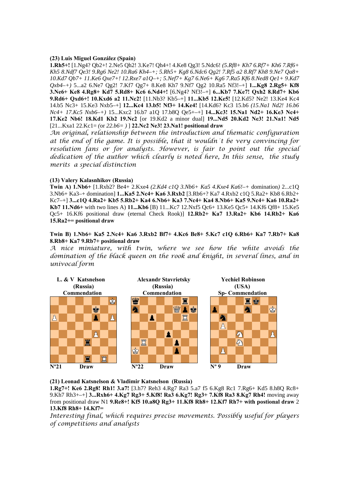#### **(23) Luis Miguel González (Spain)**

**1.Rh5+!** [1.Ng4? Qb2+! 2.Ne5 Qh2! 3.Ke7! Qh4+! 4.Ke8 Qg3! 5.Ndc6! *(5.Rf8+ Kh7 6.Rf7+ Kh6 7.Rf6+ Kh5 8.Ndf7 Qe3! 9.Rg6 Ne2! 10.Ra6 Kh4–+; 5.Rh5+ Kg8 6.Ndc6 Qg2! 7.Rf5 a2 8.Rf7 Kh8 9.Ne7 Qa8+ 10.Kd7 Qb7+ 11.Ke6 Qxe7+! 12.Rxe7 a1Q–+; 5.Nef7+ Kg7 6.Ne6+ Kg6 7.Ra5 Kf6 8.Ned8 Qe1+ 9.Kd7 Qxb4–+)* 5...a2 6.Ne7 Qg2! 7.Kf7 Qg7+ 8.Ke8 Kh7 9.Nf7 Qg2 10.Ra5 Nf3!–+] **1...Kg8 2.Rg5+ Kf8 3.Ne6+ Ke8 4.Rg8+ Kd7 5.Rd8+ Kc6 6.Nd4+!** [6.Ng4? Nf3!–+] **6...Kb7 7.Ke7! Qxh2 8.Rd7+ Kb6 9.Rd6+ Qxd6+! 10.Kxd6 a2 11.Nc2!** [11.Nb3? Kb5–+] **11...Kb5 12.Ke5!** [12.Kd5? Ne2! 13.Ke4 Kc4 14.b5 Nc3+ 15.Ke3 Nxb5–+] **12...Kc4 13.b5! Nf3+ 14.Ke4!** [14.Kd6? Kc3 15.b6 *(15.Na1 Nd2! 16.b6 Nc4+ 17.Kc5 Nxb6–+)* 15...Kxc2 16.b7 a1Q 17.b8Q Qe5+–+] **14...Kc3! 15.Na1 Nd2+ 16.Ke3 Nc4+ 17.Ke2 Nb6! 18.Kd1 Kb2 19.Nc2** [or 19.Kd2 a minor dual] **19...Nd5 20.Kd2 Ne3! 21.Na1! Nd5**  [21...Kxa1 22.Kc1= *(*or *22.b6= )* ] **22.Nc2 Ne3! 23.Na1! positional draw** 

*An original, relationship between the introduction and thematic configuration at the end of the game. It is possible, that it wouldn´t be very convincing for resolution fans or for analysts. However, is fair to point out the special dedication of the author which clearly is noted here, In this sense, the study merits a special distinction* 

#### **(13) Valery Kalasnhikov (Russia)**

**Twin A) 1.Nb6+** [1.Rxb2? Be4+ 2.Kxe4 *(2.Kd4 c1Q 3.Nb6+ Ka5 4.Kxe4 Ka6!–+* domination*)* 2...c1Q 3.Nb6+ Ka3–+ domination] **1...Ka5 2.Nc4+ Ka6 3.Rxb2** [3.Rb6+? Ka7 4.Rxb2 c1Q 5.Ra2+ Kb8 6.Rb2+ Kc7–+] **3...c1Q 4.Ra2+ Kb5 5.Rb2+ Ka4 6.Nb6+ Ka3 7.Nc4+ Ka4 8.Nb6+ Ka5 9.Nc4+ Ka6 10.Ra2+ Kb7 11.Nd6+** with two lines A) **11...Kb6** [B) 11...Kc7 12.Nxf5 Qc6+ 13.Ke5 Qc5+ 14.Kf6 Qf8+ 15.Ke5 Qc5+ 16.Kf6 positional draw (eternal Check Rook)] **12.Rb2+ Ka7 13.Ra2+ Kb6 14.Rb2+ Ka6 15.Ra2+= positional draw**

#### **Twin B) 1.Nb6+ Ka5 2.Nc4+ Ka6 3.Rxb2 Bf7+ 4.Kc6 Be8+ 5.Kc7 c1Q 6.Rb6+ Ka7 7.Rb7+ Ka8 8.Rb8+ Ka7 9.Rb7+ positional draw**

*A nice miniature, with twin, where we see how the white avoids the domination of the black queen on the rook and knight, in several lines, and in univocal form* 



**(21) Leonad Katsnelson & Vladimir Katsnelson (Russia)** 

**1.Rg7+! Ke6 2.Rg8! Rh1! 3.a7!** [3.h7? Reh3 4.Rg7 Ra3 5.a7 f5 6.Kg8 Rc1 7.Rg6+ Kd5 8.h8Q Rc8+ 9.Kh7 Rh3+–+] **3...Rxh6+ 4.Kg7 Rg3+ 5.Kf8! Ra3 6.Kg7! Rg3+ 7.Kf8 Ra3 8.Kg7 Rh4!** moving away from positional draw N1 **9.Re8+! Kf5 10.a8Q Rg3+ 11.Kf8 Rh8+ 12.Kf7 Rh7+ with postional draw** 2 **13.Kf8 Rh8+ 14.Kf7=** 

*Interesting final, which requires precise movements. Possibly useful for players of competitions and analysts*